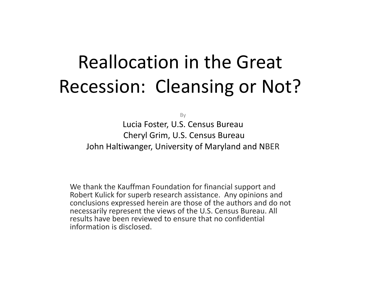# Reallocation in the Great Recession: Cleansing or Not?

By

Lucia Foster, U.S. Census Bureau Cheryl Grim, U.S. Census Bureau John Haltiwanger, University of Maryland and NBER

We thank the Kauffman Foundation for financial support and Robert Kulick for superb research assistance. Any opinions and conclusions expressed herein are those of the authors and do not necessarily represent the views of the U.S. Census Bureau. All results have been reviewed to ensure that no confidential information is disclosed.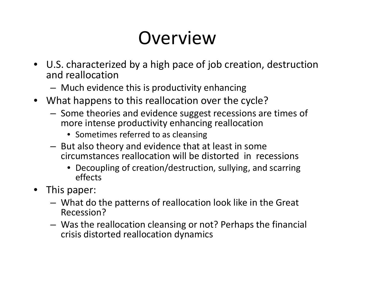# Overview

- U.S. characterized by <sup>a</sup> high pace of job creation, destruction and reallocation
	- –Much evidence this is productivity enhancing
- What happens to this reallocation over the cycle?
	- – $-$  Some theories and evidence suggest recessions are times of more intense productivity enhancing reallocation
		- Sometimes referred to as cleansing
	- – $-$  But also theory and evidence that at least in some circumstances reallocation will be distorted in recessions
		- Decoupling of creation/destruction, sullying, and scarring effects
- This paper:
	- – What do the patterns of reallocation look like in the Great Recession?
	- – Was the reallocation cleansing or not? Perhaps the financial crisis distorted reallocation dynamics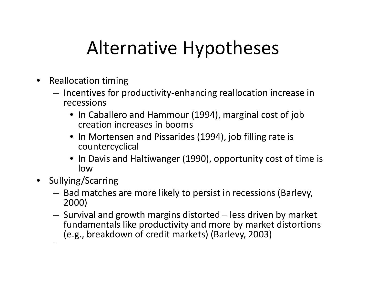## Alternative Hypotheses

- $\bullet$ • Reallocation timing
	- –— Incentives for productivity-enhancing reallocation increase in recessions
		- In Caballero and Hammour (1994), marginal cost of job creation increases in booms
		- In Mortensen and Pissarides (1994), job filling rate is countercyclical
		- In Davis and Haltiwanger (1990), opportunity cost of time is low
- $\bullet$  Sullying/Scarring
	- – $-$  Bad matches are more likely to persist in recessions (Barlevy, 2000)
	- – $-$  Survival and growth margins distorted  $-$  less driven by market fundamentals like productivity and more by market distortions (e.g., breakdown of credit markets) (Barlevy, 2003)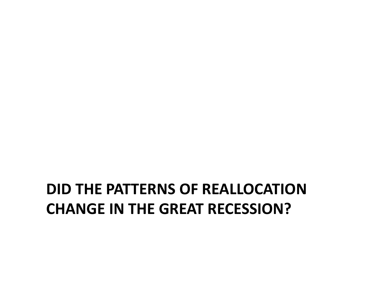### **DID THE PATTERNS OF REALLOCATIONCHANGE IN THE GREAT RECESSION?**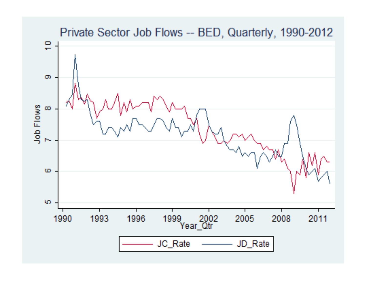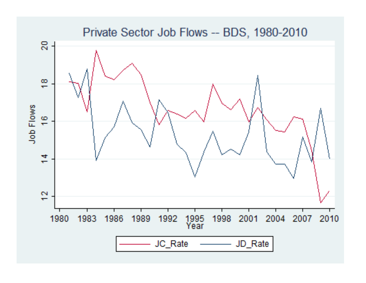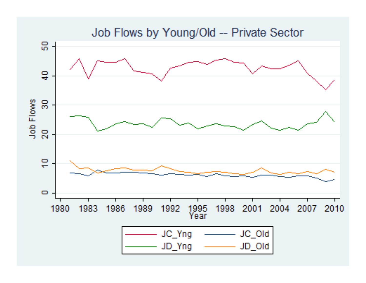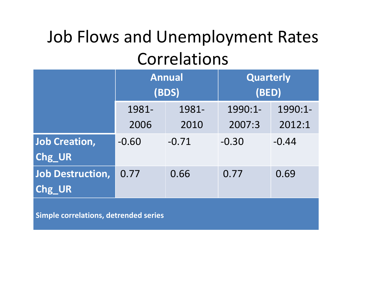### Job Flows and Unemployment Rates Correlations

|                         | <b>Annual</b><br>(BDS) |         | <b>Quarterly</b><br>(BED) |         |
|-------------------------|------------------------|---------|---------------------------|---------|
|                         | 1981-                  | 1981-   | 1990:1-                   | 1990:1- |
|                         | 2006                   | 2010    | 2007:3                    | 2012:1  |
| <b>Job Creation,</b>    | $-0.60$                | $-0.71$ | $-0.30$                   | $-0.44$ |
| Chg UR                  |                        |         |                           |         |
| <b>Job Destruction,</b> | 0.77                   | 0.66    | 0.77                      | 0.69    |
| Chg UR                  |                        |         |                           |         |

**Simple correlations, detrended series**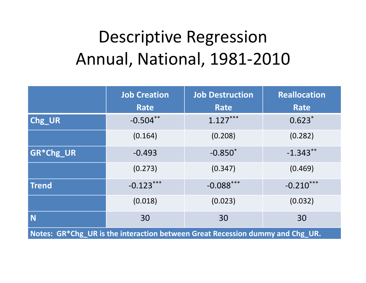## Descriptive Regression Annual, National, 1981‐2010

|                                                                               | <b>Job Creation</b><br>Rate | <b>Job Destruction</b><br>Rate | <b>Reallocation</b><br><b>Rate</b> |
|-------------------------------------------------------------------------------|-----------------------------|--------------------------------|------------------------------------|
| Chg_UR                                                                        | $-0.504**$                  | $1.127***$                     | $0.623*$                           |
|                                                                               | (0.164)                     | (0.208)                        | (0.282)                            |
| <b>GR*Chg_UR</b>                                                              | $-0.493$                    | $-0.850*$                      | $-1.343**$                         |
|                                                                               | (0.273)                     | (0.347)                        | (0.469)                            |
| <b>Trend</b>                                                                  | $-0.123***$                 | $-0.088***$                    | $-0.210***$                        |
|                                                                               | (0.018)                     | (0.023)                        | (0.032)                            |
| N                                                                             | 30                          | 30                             | 30                                 |
| Notes: GR*Chg UR is the interaction between Great Recession dummy and Chg UR. |                             |                                |                                    |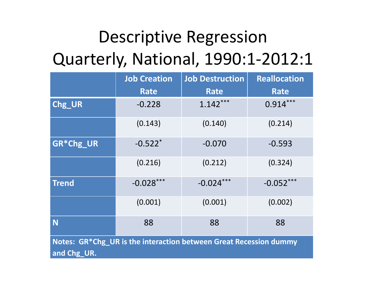## Descriptive Regression Quarterly, National, 1990:1‐2012:1

|                                                                                  | <b>Job Creation</b>   | <b>Job Destruction</b> | <b>Reallocation</b> |
|----------------------------------------------------------------------------------|-----------------------|------------------------|---------------------|
|                                                                                  | <b>Rate</b>           | <b>Rate</b>            | Rate                |
| Chg_UR                                                                           | $-0.228$              | $1.142***$             | $0.914***$          |
|                                                                                  | (0.143)               | (0.140)                | (0.214)             |
| GR*Chg_UR                                                                        | $-0.522$ <sup>*</sup> | $-0.070$               | $-0.593$            |
|                                                                                  | (0.216)               | (0.212)                | (0.324)             |
| <b>Trend</b>                                                                     | $-0.028***$           | $-0.024***$            | $-0.052***$         |
|                                                                                  | (0.001)               | (0.001)                | (0.002)             |
| N                                                                                | 88                    | 88                     | 88                  |
| Notes: GR*Chg_UR is the interaction between Great Recession dummy<br>and Chg_UR. |                       |                        |                     |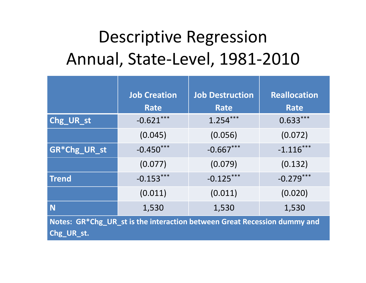### Descriptive Regression Annual, State‐Level, 1981‐2010

|                                                                          | <b>Job Creation</b> | <b>Job Destruction</b> | <b>Reallocation</b> |
|--------------------------------------------------------------------------|---------------------|------------------------|---------------------|
|                                                                          | <b>Rate</b>         | <b>Rate</b>            | <b>Rate</b>         |
| Chg_UR_st                                                                | $-0.621***$         | $1.254***$             | $0.633***$          |
|                                                                          | (0.045)             | (0.056)                | (0.072)             |
| GR*Chg_UR_st                                                             | $-0.450***$         | $-0.667***$            | $-1.116***$         |
|                                                                          | (0.077)             | (0.079)                | (0.132)             |
| <b>Trend</b>                                                             | $-0.153***$         | $-0.125***$            | $-0.279***$         |
|                                                                          | (0.011)             | (0.011)                | (0.020)             |
| N                                                                        | 1,530               | 1,530                  | 1,530               |
| Notes: GR*Chg_UR_st is the interaction between Great Recession dummy and |                     |                        |                     |
| Chg_UR_st.                                                               |                     |                        |                     |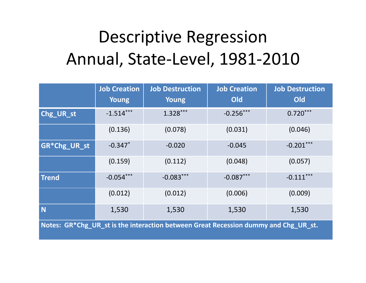## Descriptive Regression Annual, State‐Level, 1981‐2010

|                                                                                     | <b>Job Creation</b><br>Young | <b>Job Destruction</b><br><b>Young</b> | <b>Job Creation</b><br>Old | <b>Job Destruction</b><br>Old |
|-------------------------------------------------------------------------------------|------------------------------|----------------------------------------|----------------------------|-------------------------------|
| Chg_UR_st                                                                           | $-1.514***$                  | $1.328***$                             | $-0.256***$                | $0.720***$                    |
|                                                                                     | (0.136)                      | (0.078)                                | (0.031)                    | (0.046)                       |
| GR*Chg_UR_st                                                                        | $-0.347$ *                   | $-0.020$                               | $-0.045$                   | $-0.201***$                   |
|                                                                                     | (0.159)                      | (0.112)                                | (0.048)                    | (0.057)                       |
| <b>Trend</b>                                                                        | $-0.054***$                  | $-0.083***$                            | $-0.087***$                | $-0.111***$                   |
|                                                                                     | (0.012)                      | (0.012)                                | (0.006)                    | (0.009)                       |
| N                                                                                   | 1,530                        | 1,530                                  | 1,530                      | 1,530                         |
| Notes: GR*Chg_UR_st is the interaction between Great Recession dummy and Chg_UR_st. |                              |                                        |                            |                               |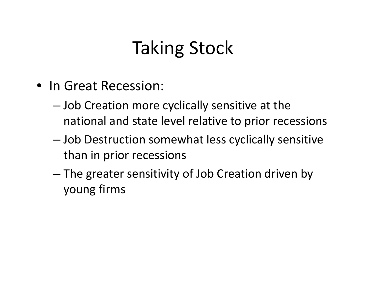## Taking Stock

- In Great Recession:
	- – $-$  Job Creation more cyclically sensitive at the national and state level relative to prior recessions
	- – Job Destruction somewhat less cyclically sensitive than in prior recessions
	- – The greater sensitivity of Job Creation driven by young firms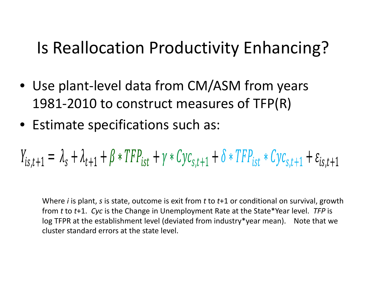### Is Reallocation Productivity Enhancing?

- Use plant‐level data from CM/ASM from years 1981‐2010 to construct measures of TFP(R)
- Estimate specifications such as:

$$
Y_{is,t+1} = \lambda_s + \lambda_{t+1} + \beta * TFP_{ist} + \gamma * Cyc_{s,t+1} + \delta * TFP_{ist} * Cyc_{s,t+1} + \varepsilon_{is,t+1}
$$

Where *i* is plant, *<sup>s</sup>* is state, outcome is exit from *<sup>t</sup>* to *<sup>t</sup>*+1 or conditional on survival, growth from *<sup>t</sup>* to *<sup>t</sup>*+1. *Cyc* is the Change in Unemployment Rate at the State\*Year level. *TFP* is log TFPR at the establishment level (deviated from industry\*year mean). Note that we cluster standard errors at the state level.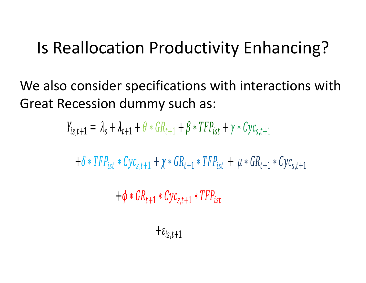### Is Reallocation Productivity Enhancing?

We also consider specifications with interactions with Great Recession dummy such as:

$$
Y_{is,t+1} = \lambda_s + \lambda_{t+1} + \theta * GR_{t+1} + \beta * TFP_{ist} + \gamma * Cyc_{s,t+1}
$$

$$
+ \delta * TFP_{ist} * Cyc_{s,t+1} + \chi * GR_{t+1} * TFP_{ist} + \mu * GR_{t+1} * Cyc_{s,t+1}
$$

 $t+1$  \*  $UyC_{S,t+1}$  \*  $I$   $\Gamma$   $\Gamma$   $ist$ 

$$
+\varepsilon_{is,t+1}
$$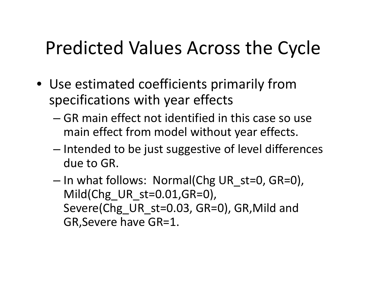## Predicted Values Across the Cycle

- Use estimated coefficients primarily from specifications with year effects
	- GR main effect not identified in this case so use main effect from model without year effects.
	- – $-$  Intended to be just suggestive of level differences due to GR.
	- – $-$  In what follows: Normal(Chg UR\_st=0, GR=0), Mild(Chg UR st=0.01,GR=0), Severe(Chg UR st=0.03, GR=0), GR,Mild and GR,Severe have GR=1.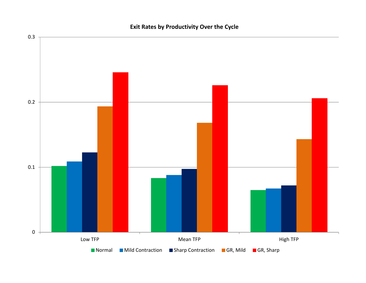

#### **Exit Rates by Productivity Over the Cycle**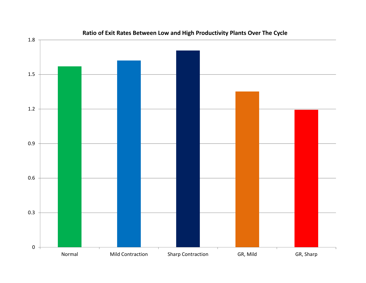

#### **Ratio of Exit Rates Between Low and High Productivity Plants Over The Cycle**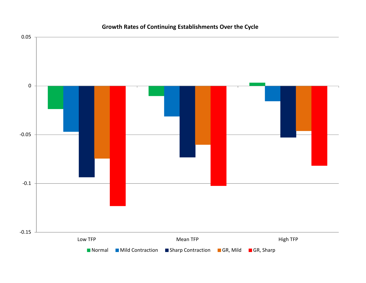

#### **Growth Rates of Continuing Establishments Over the Cycle**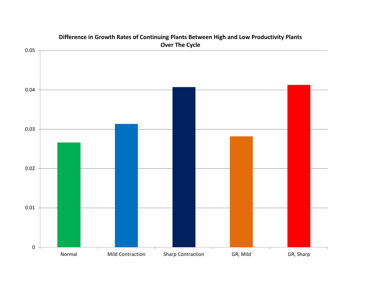

### **Difference in Growth Rates of Continuing Plants Between High and Low Productivity Plants**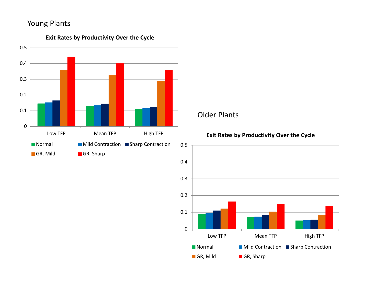

#### **Exit Rates by Productivity Over the Cycle**

### Older Plants

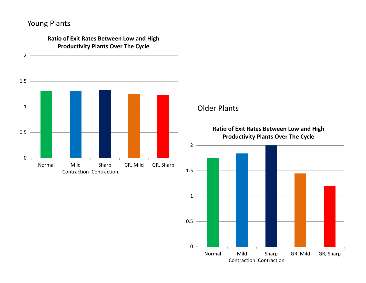

**Ratio of Exit Rates Between Low and High**

### Older Plants

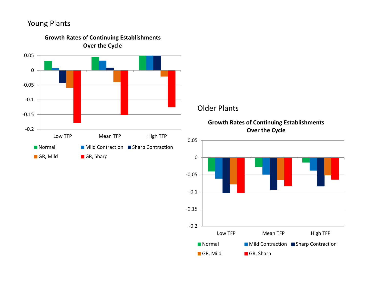

### Older Plants



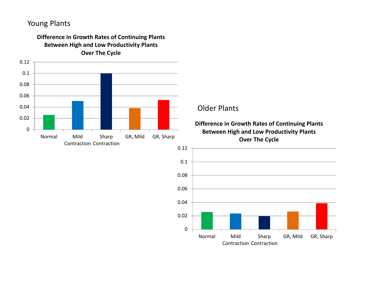

**Difference in Growth Rates of Continuing Plants Between High and Low Productivity Plants**

### Older Plants

**Difference in Growth Rates of Continuing Plants Between High and Low Productivity Plants Over The Cycle**

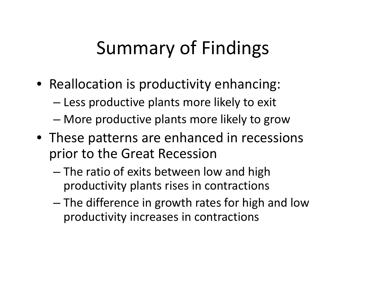## Summary of Findings

- Reallocation is productivity enhancing:
	- Less productive plants more likely to exit
	- –More productive plants more likely to grow
- These patterns are enhanced in recessions prior to the Great Recession
	- The ratio of exits between low and high productivity plants rises in contractions
	- – The difference in growth rates for high and low productivity increases in contractions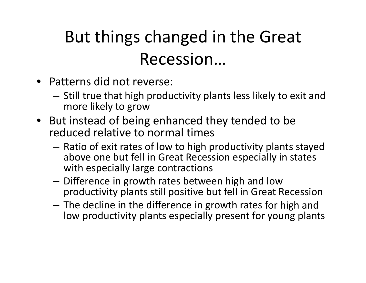## But things changed in the Great Recession…

- Patterns did not reverse:
	- $-$  Still true that high productivity plants less likely to exit and more likely to grow
- But instead of being enhanced they tended to be reduced relative to normal times
	- Ratio of exit rates of low to high productivity plants stayed above one but fell in Great Recession especially in states with especially large contractions
	- $-$  Difference in growth rates between high and low productivity plants still positive but fell in Great Recession
	- The decline in the difference in growth rates for high and low productivity plants especially present for young plants